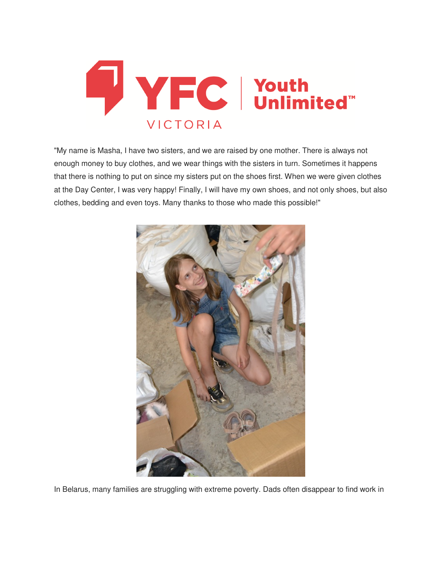

"My name is Masha, I have two sisters, and we are raised by one mother. There is always not enough money to buy clothes, and we wear things with the sisters in turn. Sometimes it happens that there is nothing to put on since my sisters put on the shoes first. When we were given clothes at the Day Center, I was very happy! Finally, I will have my own shoes, and not only shoes, but also clothes, bedding and even toys. Many thanks to those who made this possible!"



In Belarus, many families are struggling with extreme poverty. Dads often disappear to find work in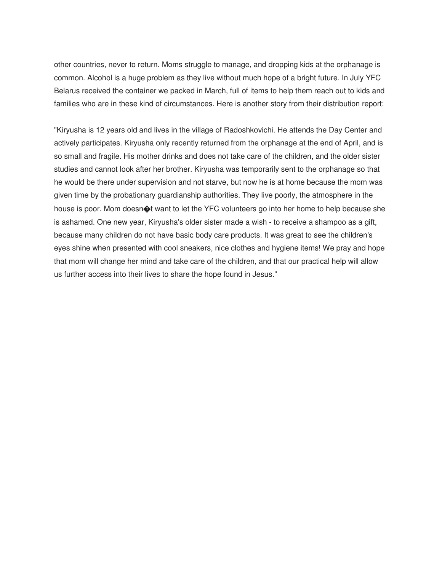other countries, never to return. Moms struggle to manage, and dropping kids at the orphanage is common. Alcohol is a huge problem as they live without much hope of a bright future. In July YFC Belarus received the container we packed in March, full of items to help them reach out to kids and families who are in these kind of circumstances. Here is another story from their distribution report:

"Kiryusha is 12 years old and lives in the village of Radoshkovichi. He attends the Day Center and actively participates. Kiryusha only recently returned from the orphanage at the end of April, and is so small and fragile. His mother drinks and does not take care of the children, and the older sister studies and cannot look after her brother. Kiryusha was temporarily sent to the orphanage so that he would be there under supervision and not starve, but now he is at home because the mom was given time by the probationary guardianship authorities. They live poorly, the atmosphere in the house is poor. Mom doesn $\otimes$ t want to let the YFC volunteers go into her home to help because she is ashamed. One new year, Kiryusha's older sister made a wish - to receive a shampoo as a gift, because many children do not have basic body care products. It was great to see the children's eyes shine when presented with cool sneakers, nice clothes and hygiene items! We pray and hope that mom will change her mind and take care of the children, and that our practical help will allow us further access into their lives to share the hope found in Jesus."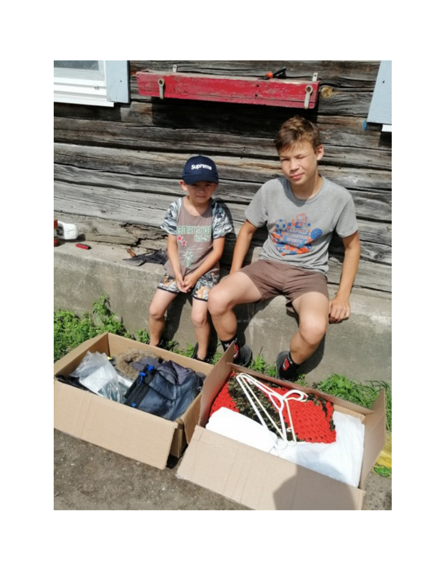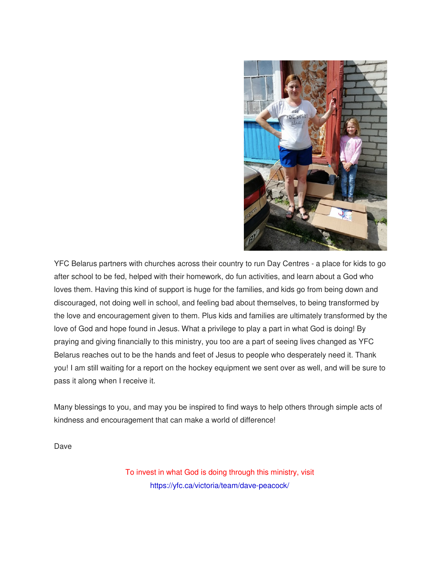

YFC Belarus partners with churches across their country to run Day Centres - a place for kids to go after school to be fed, helped with their homework, do fun activities, and learn about a God who loves them. Having this kind of support is huge for the families, and kids go from being down and discouraged, not doing well in school, and feeling bad about themselves, to being transformed by the love and encouragement given to them. Plus kids and families are ultimately transformed by the love of God and hope found in Jesus. What a privilege to play a part in what God is doing! By praying and giving financially to this ministry, you too are a part of seeing lives changed as YFC Belarus reaches out to be the hands and feet of Jesus to people who desperately need it. Thank you! I am still waiting for a report on the hockey equipment we sent over as well, and will be sure to pass it along when I receive it.

Many blessings to you, and may you be inspired to find ways to help others through simple acts of kindness and encouragement that can make a world of difference!

Dave

To invest in what God is doing through this ministry, visit https://yfc.ca/victoria/team/dave-peacock/